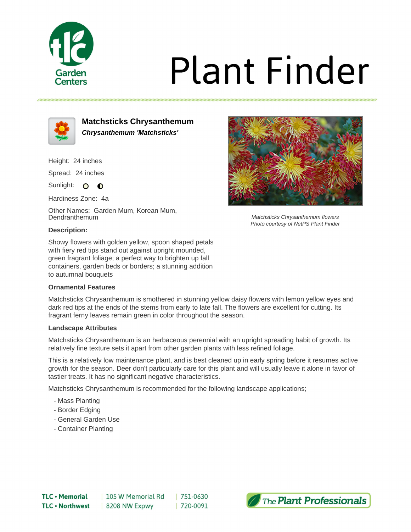

# **Plant Finder**



**Matchsticks Chrysanthemum Chrysanthemum 'Matchsticks'**

Height: 24 inches

Spread: 24 inches

Sunlight: O **O** 

Hardiness Zone: 4a

Other Names: Garden Mum, Korean Mum, Dendranthemum

## **Description:**

Showy flowers with golden yellow, spoon shaped petals with fiery red tips stand out against upright mounded, green fragrant foliage; a perfect way to brighten up fall containers, garden beds or borders; a stunning addition to autumnal bouquets

## **Ornamental Features**

Matchsticks Chrysanthemum is smothered in stunning yellow daisy flowers with lemon yellow eyes and dark red tips at the ends of the stems from early to late fall. The flowers are excellent for cutting. Its fragrant ferny leaves remain green in color throughout the season.

#### **Landscape Attributes**

Matchsticks Chrysanthemum is an herbaceous perennial with an upright spreading habit of growth. Its relatively fine texture sets it apart from other garden plants with less refined foliage.

This is a relatively low maintenance plant, and is best cleaned up in early spring before it resumes active growth for the season. Deer don't particularly care for this plant and will usually leave it alone in favor of tastier treats. It has no significant negative characteristics.

Matchsticks Chrysanthemum is recommended for the following landscape applications;

- Mass Planting
- Border Edging
- General Garden Use
- Container Planting



Matchsticks Chrysanthemum flowers Photo courtesy of NetPS Plant Finder